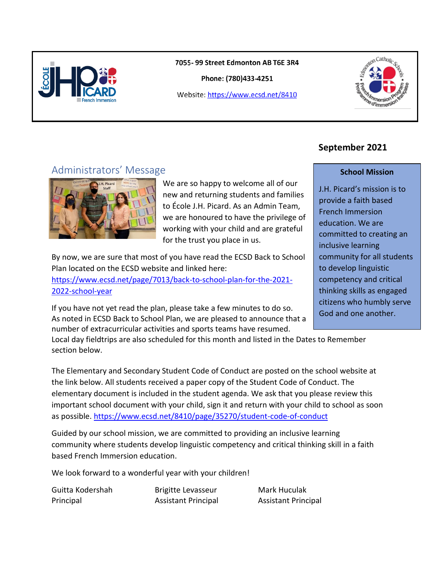

7055-99 Street Edmonton AB T6E 3R4

Phone: (780)433-4251

Website: https://www.ecsd.net/8410



# Administrators' Message



We are so happy to welcome all of our new and returning students and families to École J.H. Picard. As an Admin Team, we are honoured to have the privilege of working with your child and are grateful for the trust you place in us.

By now, we are sure that most of you have read the ECSD Back to School Plan located on the ECSD website and linked here:

[https://www.ecsd.net/page/7013/back-to-school-plan-for-the-2021-](https://www.ecsd.net/page/7013/back-to-school-plan-for-the-2021-2022-school-year) [2022-school-year](https://www.ecsd.net/page/7013/back-to-school-plan-for-the-2021-2022-school-year)

If you have not yet read the plan, please take a few minutes to do so. As noted in ECSD Back to School Plan, we are pleased to announce that a number of extracurricular activities and sports teams have resumed.

Local day fieldtrips are also scheduled for this month and listed in the Dates to Remember section below.

The Elementary and Secondary Student Code of Conduct are posted on the school website at the link below. All students received a paper copy of the Student Code of Conduct. The elementary document is included in the student agenda. We ask that you please review this important school document with your child, sign it and return with your child to school as soon as possible[. https://www.ecsd.net/8410/page/35270/student-code-of-conduct](https://www.ecsd.net/8410/page/35270/student-code-of-conduct)

Guided by our school mission, we are committed to providing an inclusive learning community where students develop linguistic competency and critical thinking skill in a faith based French Immersion education.

We look forward to a wonderful year with your children!

Guitta Kodershah Brigitte Levasseur Mark Huculak

Principal Assistant Principal Assistant Principal

## **September 2021**

#### **School Mission**

J.H. Picard's mission is to provide a faith based French Immersion education. We are committed to creating an inclusive learning community for all students to develop linguistic competency and critical thinking skills as engaged citizens who humbly serve God and one another.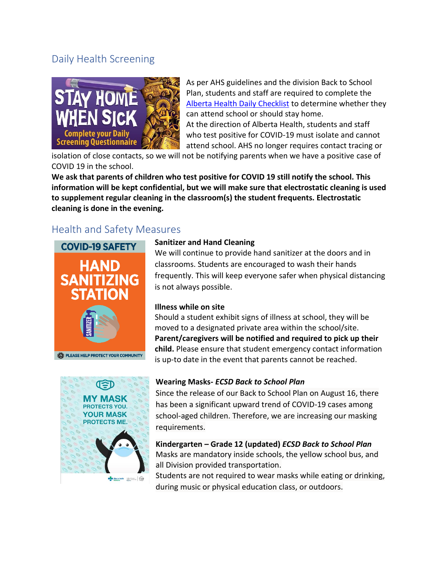# Daily Health Screening



As per AHS guidelines and the division Back to School Plan, students and staff are required to complete the [Alberta Health Daily Checklist](https://www.ecsd.net/_ci/p/34430) to determine whether they can attend school or should stay home. At the direction of Alberta Health, students and staff who test positive for COVID-19 must isolate and cannot attend school. AHS no longer requires contact tracing or

isolation of close contacts, so we will not be notifying parents when we have a positive case of COVID 19 in the school.

**We ask that parents of children who test positive for COVID 19 still notify the school. This information will be kept confidential, but we will make sure that electrostatic cleaning is used to supplement regular cleaning in the classroom(s) the student frequents. Electrostatic cleaning is done in the evening.** 

# Health and Safety Measures



**OTECTS YOU. YOUR MASK PROTECTS ME. By Aberta Reads Bang Street, Gas** 

#### **Sanitizer and Hand Cleaning**

We will continue to provide hand sanitizer at the doors and in classrooms. Students are encouraged to wash their hands frequently. This will keep everyone safer when physical distancing is not always possible.

#### **Illness while on site**

Should a student exhibit signs of illness at school, they will be moved to a designated private area within the school/site. **Parent/caregivers will be notified and required to pick up their child.** Please ensure that student emergency contact information is up-to date in the event that parents cannot be reached.

#### **Wearing Masks-** *ECSD Back to School Plan*

Since the release of our Back to School Plan on August 16, there has been a significant upward trend of COVID-19 cases among school-aged children. Therefore, we are increasing our masking requirements.

**Kindergarten – Grade 12 (updated)** *ECSD Back to School Plan* Masks are mandatory inside schools, the yellow school bus, and all Division provided transportation.

Students are not required to wear masks while eating or drinking, during music or physical education class, or outdoors.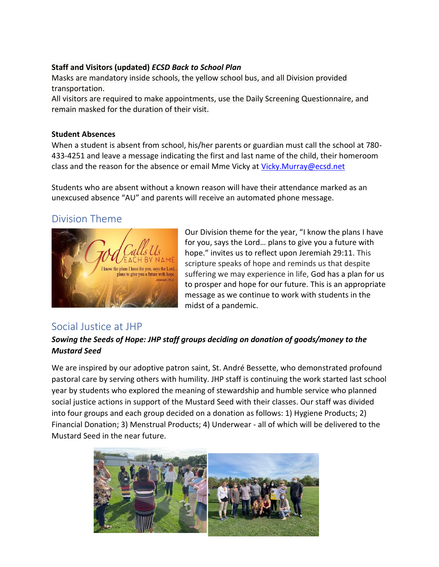### **Staff and Visitors (updated)** *ECSD Back to School Plan*

Masks are mandatory inside schools, the yellow school bus, and all Division provided transportation.

All visitors are required to make appointments, use the Daily Screening Questionnaire, and remain masked for the duration of their visit.

#### **Student Absences**

When a student is absent from school, his/her parents or guardian must call the school at 780- 433-4251 and leave a message indicating the first and last name of the child, their homeroom class and the reason for the absence or email Mme Vicky at [Vicky.Murray@ecsd.net](mailto:Vicky.Murray@ecsd.net)

Students who are absent without a known reason will have their attendance marked as an unexcused absence "AU" and parents will receive an automated phone message.

## Division Theme



Our Division theme for the year, "I know the plans I have for you, says the Lord… plans to give you a future with hope." invites us to reflect upon Jeremiah 29:11. This scripture speaks of hope and reminds us that despite suffering we may experience in life, God has a plan for us to prosper and hope for our future. This is an appropriate message as we continue to work with students in the midst of a pandemic.

## Social Justice at JHP

## *Sowing the Seeds of Hope: JHP staff groups deciding on donation of goods/money to the Mustard Seed*

We are inspired by our adoptive patron saint, St. André Bessette, who demonstrated profound pastoral care by serving others with humility. JHP staff is continuing the work started last school year by students who explored the meaning of stewardship and humble service who planned social justice actions in support of the Mustard Seed with their classes. Our staff was divided into four groups and each group decided on a donation as follows: 1) Hygiene Products; 2) Financial Donation; 3) Menstrual Products; 4) Underwear - all of which will be delivered to the Mustard Seed in the near future.

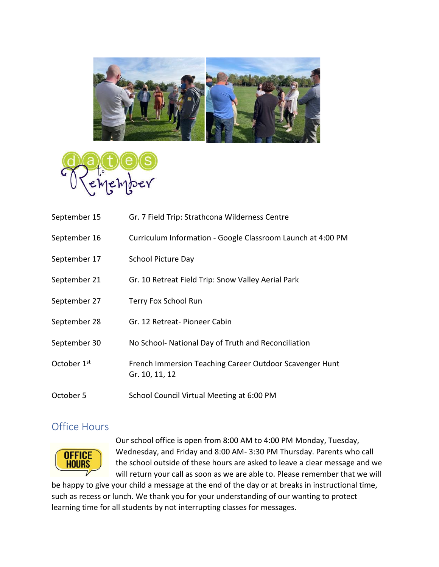



| September 15            | Gr. 7 Field Trip: Strathcona Wilderness Centre                            |
|-------------------------|---------------------------------------------------------------------------|
| September 16            | Curriculum Information - Google Classroom Launch at 4:00 PM               |
| September 17            | <b>School Picture Day</b>                                                 |
| September 21            | Gr. 10 Retreat Field Trip: Snow Valley Aerial Park                        |
| September 27            | Terry Fox School Run                                                      |
| September 28            | Gr. 12 Retreat-Pioneer Cabin                                              |
| September 30            | No School- National Day of Truth and Reconciliation                       |
| October 1 <sup>st</sup> | French Immersion Teaching Career Outdoor Scavenger Hunt<br>Gr. 10, 11, 12 |
| October 5               | School Council Virtual Meeting at 6:00 PM                                 |

## Office Hours



Our school office is open from 8:00 AM to 4:00 PM Monday, Tuesday, Wednesday, and Friday and 8:00 AM- 3:30 PM Thursday. Parents who call the school outside of these hours are asked to leave a clear message and we will return your call as soon as we are able to. Please remember that we will

be happy to give your child a message at the end of the day or at breaks in instructional time, such as recess or lunch. We thank you for your understanding of our wanting to protect learning time for all students by not interrupting classes for messages.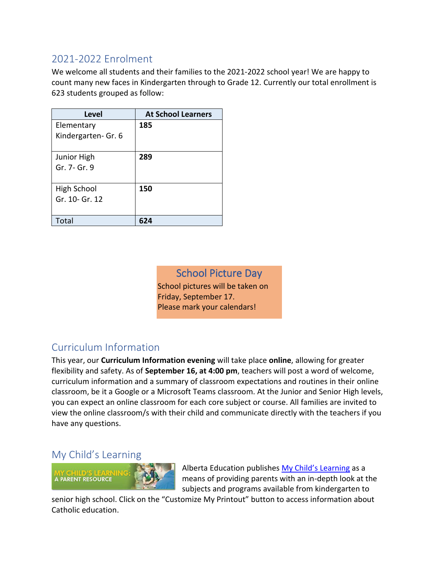# 2021-2022 Enrolment

We welcome all students and their families to the 2021-2022 school year! We are happy to count many new faces in Kindergarten through to Grade 12. Currently our total enrollment is 623 students grouped as follow:

| <b>Level</b>        | <b>At School Learners</b> |
|---------------------|---------------------------|
| Elementary          | 185                       |
| Kindergarten- Gr. 6 |                           |
| Junior High         | 289                       |
| Gr. 7- Gr. 9        |                           |
| High School         | 150                       |
| Gr. 10- Gr. 12      |                           |
|                     |                           |
| Total               |                           |

School Picture Day School pictures will be taken on Friday, September 17. Please mark your calendars!

# Curriculum Information

This year, our **Curriculum Information evening** will take place **online**, allowing for greater flexibility and safety. As of **September 16, at 4:00 pm**, teachers will post a word of welcome, curriculum information and a summary of classroom expectations and routines in their online classroom, be it a Google or a Microsoft Teams classroom. At the Junior and Senior High levels, you can expect an online classroom for each core subject or course. All families are invited to view the online classroom/s with their child and communicate directly with the teachers if you have any questions.

## My Child's Learning



Alberta Education publishes [My Child's Learning](https://www.learnalberta.ca/content/mychildslearning/) as a means of providing parents with an in-depth look at the subjects and programs available from kindergarten to

senior high school. Click on the "Customize My Printout" button to access information about Catholic education.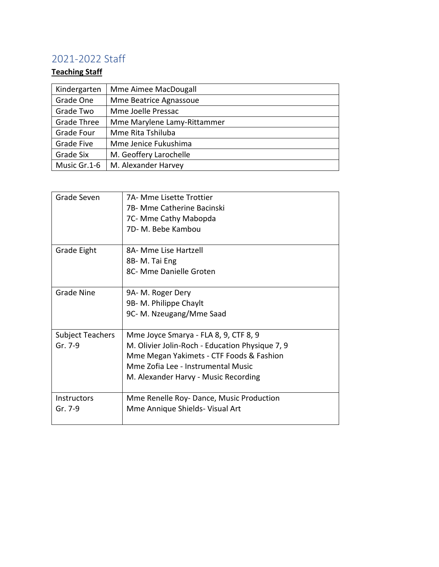# 2021-2022 Staff

## **Teaching Staff**

| Kindergarten       | Mme Aimee MacDougall        |
|--------------------|-----------------------------|
| Grade One          | Mme Beatrice Agnassoue      |
| Grade Two          | Mme Joelle Pressac          |
| <b>Grade Three</b> | Mme Marylene Lamy-Rittammer |
| <b>Grade Four</b>  | Mme Rita Tshiluba           |
| Grade Five         | Mme Jenice Fukushima        |
| Grade Six          | M. Geoffery Larochelle      |
| Music Gr.1-6       | M. Alexander Harvey         |

| Grade Seven             | 7A- Mme Lisette Trottier                        |
|-------------------------|-------------------------------------------------|
|                         | 7B- Mme Catherine Bacinski                      |
|                         | 7C- Mme Cathy Mabopda                           |
|                         | 7D-M. Bebe Kambou                               |
|                         |                                                 |
| Grade Eight             | 8A- Mme Lise Hartzell                           |
|                         | 8B-M. Tai Eng                                   |
|                         | 8C- Mme Danielle Groten                         |
|                         |                                                 |
| <b>Grade Nine</b>       | 9A-M. Roger Dery                                |
|                         | 9B- M. Philippe Chaylt                          |
|                         | 9C- M. Nzeugang/Mme Saad                        |
|                         |                                                 |
| <b>Subject Teachers</b> | Mme Joyce Smarya - FLA 8, 9, CTF 8, 9           |
| Gr. 7-9                 | M. Olivier Jolin-Roch - Education Physique 7, 9 |
|                         | Mme Megan Yakimets - CTF Foods & Fashion        |
|                         | Mme Zofia Lee - Instrumental Music              |
|                         | M. Alexander Harvy - Music Recording            |
|                         |                                                 |
| <b>Instructors</b>      | Mme Renelle Roy- Dance, Music Production        |
| Gr. 7-9                 | Mme Annique Shields- Visual Art                 |
|                         |                                                 |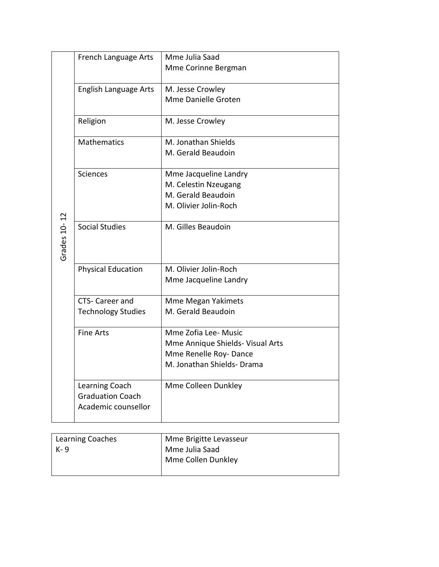|              | French Language Arts      | Mme Julia Saad                                           |
|--------------|---------------------------|----------------------------------------------------------|
|              |                           | Mme Corinne Bergman                                      |
|              |                           |                                                          |
|              | English Language Arts     | M. Jesse Crowley                                         |
|              |                           | Mme Danielle Groten                                      |
|              | Religion                  | M. Jesse Crowley                                         |
|              | <b>Mathematics</b>        | M. Jonathan Shields                                      |
|              |                           | M. Gerald Beaudoin                                       |
|              | <b>Sciences</b>           | Mme Jacqueline Landry                                    |
|              |                           | M. Celestin Nzeugang                                     |
|              |                           | M. Gerald Beaudoin                                       |
|              |                           | M. Olivier Jolin-Roch                                    |
|              |                           |                                                          |
|              | <b>Social Studies</b>     | M. Gilles Beaudoin                                       |
| Grades 10-12 |                           |                                                          |
|              |                           |                                                          |
|              | <b>Physical Education</b> | M. Olivier Jolin-Roch                                    |
|              |                           | Mme Jacqueline Landry                                    |
|              | CTS- Career and           | <b>Mme Megan Yakimets</b>                                |
|              | <b>Technology Studies</b> | M. Gerald Beaudoin                                       |
|              |                           |                                                          |
|              | <b>Fine Arts</b>          | Mme Zofia Lee- Music<br>Mme Annique Shields- Visual Arts |
|              |                           | Mme Renelle Roy-Dance                                    |
|              |                           | M. Jonathan Shields- Drama                               |
|              |                           |                                                          |
|              | Learning Coach            | Mme Colleen Dunkley                                      |
|              | <b>Graduation Coach</b>   |                                                          |
|              | Academic counsellor       |                                                          |
|              |                           |                                                          |

| Learning Coaches | Mme Brigitte Levasseur |
|------------------|------------------------|
| l K-9            | Mme Julia Saad         |
|                  | Mme Collen Dunkley     |
|                  |                        |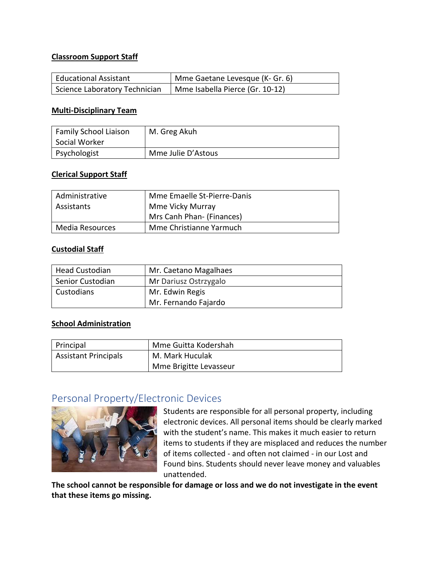#### **Classroom Support Staff**

| Educational Assistant         | Mme Gaetane Levesque (K- Gr. 6) |
|-------------------------------|---------------------------------|
| Science Laboratory Technician | Mme Isabella Pierce (Gr. 10-12) |

#### **Multi-Disciplinary Team**

| Family School Liaison<br>Social Worker | M. Greg Akuh       |
|----------------------------------------|--------------------|
| Psychologist                           | Mme Julie D'Astous |

#### **Clerical Support Staff**

| Administrative  | Mme Emaelle St-Pierre-Danis |
|-----------------|-----------------------------|
| Assistants      | Mme Vicky Murray            |
|                 | Mrs Canh Phan- (Finances)   |
| Media Resources | Mme Christianne Yarmuch     |

#### **Custodial Staff**

| <b>Head Custodian</b> | Mr. Caetano Magalhaes |
|-----------------------|-----------------------|
| Senior Custodian      | Mr Dariusz Ostrzygalo |
| Custodians            | Mr. Edwin Regis       |
|                       | Mr. Fernando Fajardo  |

#### **School Administration**

| Principal                   | Mme Guitta Kodershah   |
|-----------------------------|------------------------|
| <b>Assistant Principals</b> | M. Mark Huculak        |
|                             | Mme Brigitte Levasseur |

## Personal Property/Electronic Devices



Students are responsible for all personal property, including electronic devices. All personal items should be clearly marked with the student's name. This makes it much easier to return items to students if they are misplaced and reduces the number of items collected - and often not claimed - in our Lost and Found bins. Students should never leave money and valuables unattended.

**The school cannot be responsible for damage or loss and we do not investigate in the event that these items go missing.**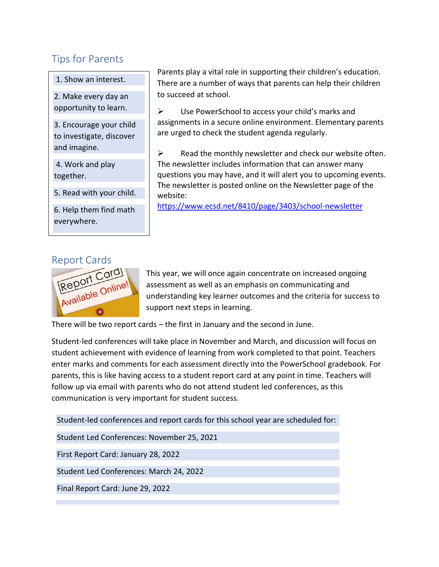# Tips for Parents

1. Show an interest.

2. Make every day an opportunity to learn.

3. Encourage your child to investigate, discover and imagine.

4. Work and play together.

5. Read with your child.

6. Help them find math everywhere.

Parents play a vital role in supporting their children's education. There are a number of ways that parents can help their children to succeed at school.

➢ Use PowerSchool to access your child's marks and assignments in a secure online environment. Elementary parents are urged to check the student agenda regularly.

 $\triangleright$  Read the monthly newsletter and check our website often. The newsletter includes information that can answer many questions you may have, and it will alert you to upcoming events. The newsletter is posted online on the Newsletter page of the website:

<https://www.ecsd.net/8410/page/3403/school-newsletter>



This year, we will once again concentrate on increased ongoing assessment as well as an emphasis on communicating and understanding key learner outcomes and the criteria for success to support next steps in learning.

There will be two report cards – the first in January and the second in June.

Student-led conferences will take place in November and March, and discussion will focus on student achievement with evidence of learning from work completed to that point. Teachers enter marks and comments for each assessment directly into the PowerSchool gradebook. For parents, this is like having access to a student report card at any point in time. Teachers will follow up via email with parents who do not attend student led conferences, as this communication is very important for student success.

Student-led conferences and report cards for this school year are scheduled for: Student Led Conferences: November 25, 2021 First Report Card: January 28, 2022 Student Led Conferences: March 24, 2022 Final Report Card: June 29, 2022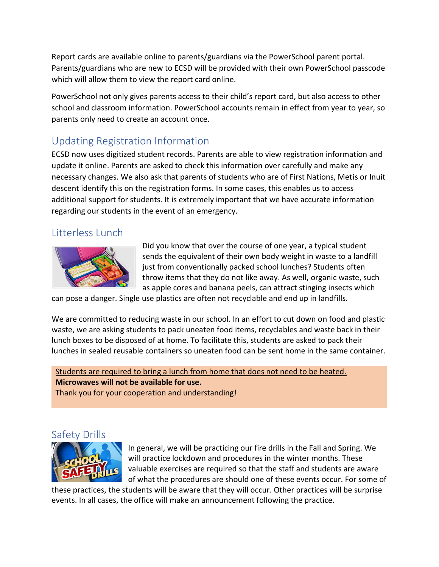Report cards are available online to parents/guardians via the PowerSchool parent portal. Parents/guardians who are new to ECSD will be provided with their own PowerSchool passcode which will allow them to view the report card online.

PowerSchool not only gives parents access to their child's report card, but also access to other school and classroom information. PowerSchool accounts remain in effect from year to year, so parents only need to create an account once.

# Updating Registration Information

ECSD now uses digitized student records. Parents are able to view registration information and update it online. Parents are asked to check this information over carefully and make any necessary changes. We also ask that parents of students who are of First Nations, Metis or Inuit descent identify this on the registration forms. In some cases, this enables us to access additional support for students. It is extremely important that we have accurate information regarding our students in the event of an emergency.

## Litterless Lunch



Did you know that over the course of one year, a typical student sends the equivalent of their own body weight in waste to a landfill just from conventionally packed school lunches? Students often throw items that they do not like away. As well, organic waste, such as apple cores and banana peels, can attract stinging insects which

can pose a danger. Single use plastics are often not recyclable and end up in landfills.

We are committed to reducing waste in our school. In an effort to cut down on food and plastic waste, we are asking students to pack uneaten food items, recyclables and waste back in their lunch boxes to be disposed of at home. To facilitate this, students are asked to pack their lunches in sealed reusable containers so uneaten food can be sent home in the same container.

Students are required to bring a lunch from home that does not need to be heated. **Microwaves will not be available for use.**  Thank you for your cooperation and understanding!

## Safety Drills



In general, we will be practicing our fire drills in the Fall and Spring. We will practice lockdown and procedures in the winter months. These valuable exercises are required so that the staff and students are aware of what the procedures are should one of these events occur. For some of

these practices, the students will be aware that they will occur. Other practices will be surprise events. In all cases, the office will make an announcement following the practice.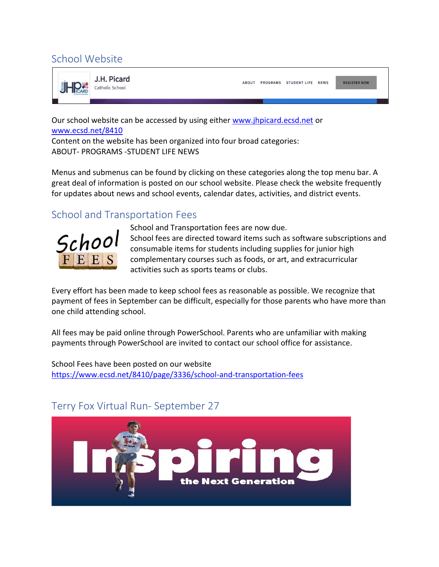# School Website



ABOUT PROGRAMS STUDENTLIFE NEWS

**REGISTER NOW** 

Our school website can be accessed by using either [www.jhpicard.ecsd.net](http://www.jhpicard.ecsd.net/) or [www.ecsd.net/8410](http://www.ecsd.net/8410)

Content on the website has been organized into four broad categories: ABOUT- PROGRAMS -STUDENT LIFE NEWS

Menus and submenus can be found by clicking on these categories along the top menu bar. A great deal of information is posted on our school website. Please check the website frequently for updates about news and school events, calendar dates, activities, and district events.

# School and Transportation Fees

![](_page_10_Picture_8.jpeg)

School and Transportation fees are now due. School fees are directed toward items such as software subscriptions and consumable items for students including supplies for junior high complementary courses such as foods, or art, and extracurricular activities such as sports teams or clubs.

Every effort has been made to keep school fees as reasonable as possible. We recognize that payment of fees in September can be difficult, especially for those parents who have more than one child attending school.

All fees may be paid online through PowerSchool. Parents who are unfamiliar with making payments through PowerSchool are invited to contact our school office for assistance.

School Fees have been posted on our website <https://www.ecsd.net/8410/page/3336/school-and-transportation-fees>

![](_page_10_Picture_13.jpeg)

# Terry Fox Virtual Run- September 27